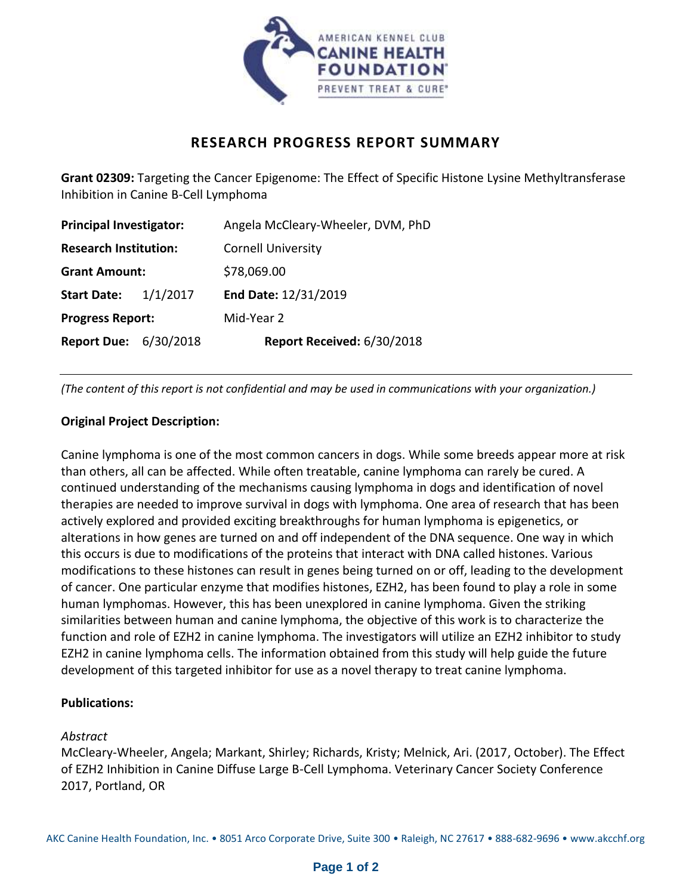

# **RESEARCH PROGRESS REPORT SUMMARY**

**Grant 02309:** Targeting the Cancer Epigenome: The Effect of Specific Histone Lysine Methyltransferase Inhibition in Canine B-Cell Lymphoma

| <b>Principal Investigator:</b> |          | Angela McCleary-Wheeler, DVM, PhD |
|--------------------------------|----------|-----------------------------------|
| <b>Research Institution:</b>   |          | <b>Cornell University</b>         |
| <b>Grant Amount:</b>           |          | \$78,069.00                       |
| <b>Start Date:</b>             | 1/1/2017 | End Date: 12/31/2019              |
| <b>Progress Report:</b>        |          | Mid-Year 2                        |
| <b>Report Due: 6/30/2018</b>   |          | Report Received: 6/30/2018        |

*(The content of this report is not confidential and may be used in communications with your organization.)*

### **Original Project Description:**

Canine lymphoma is one of the most common cancers in dogs. While some breeds appear more at risk than others, all can be affected. While often treatable, canine lymphoma can rarely be cured. A continued understanding of the mechanisms causing lymphoma in dogs and identification of novel therapies are needed to improve survival in dogs with lymphoma. One area of research that has been actively explored and provided exciting breakthroughs for human lymphoma is epigenetics, or alterations in how genes are turned on and off independent of the DNA sequence. One way in which this occurs is due to modifications of the proteins that interact with DNA called histones. Various modifications to these histones can result in genes being turned on or off, leading to the development of cancer. One particular enzyme that modifies histones, EZH2, has been found to play a role in some human lymphomas. However, this has been unexplored in canine lymphoma. Given the striking similarities between human and canine lymphoma, the objective of this work is to characterize the function and role of EZH2 in canine lymphoma. The investigators will utilize an EZH2 inhibitor to study EZH2 in canine lymphoma cells. The information obtained from this study will help guide the future development of this targeted inhibitor for use as a novel therapy to treat canine lymphoma.

### **Publications:**

### *Abstract*

McCleary-Wheeler, Angela; Markant, Shirley; Richards, Kristy; Melnick, Ari. (2017, October). The Effect of EZH2 Inhibition in Canine Diffuse Large B-Cell Lymphoma. Veterinary Cancer Society Conference 2017, Portland, OR